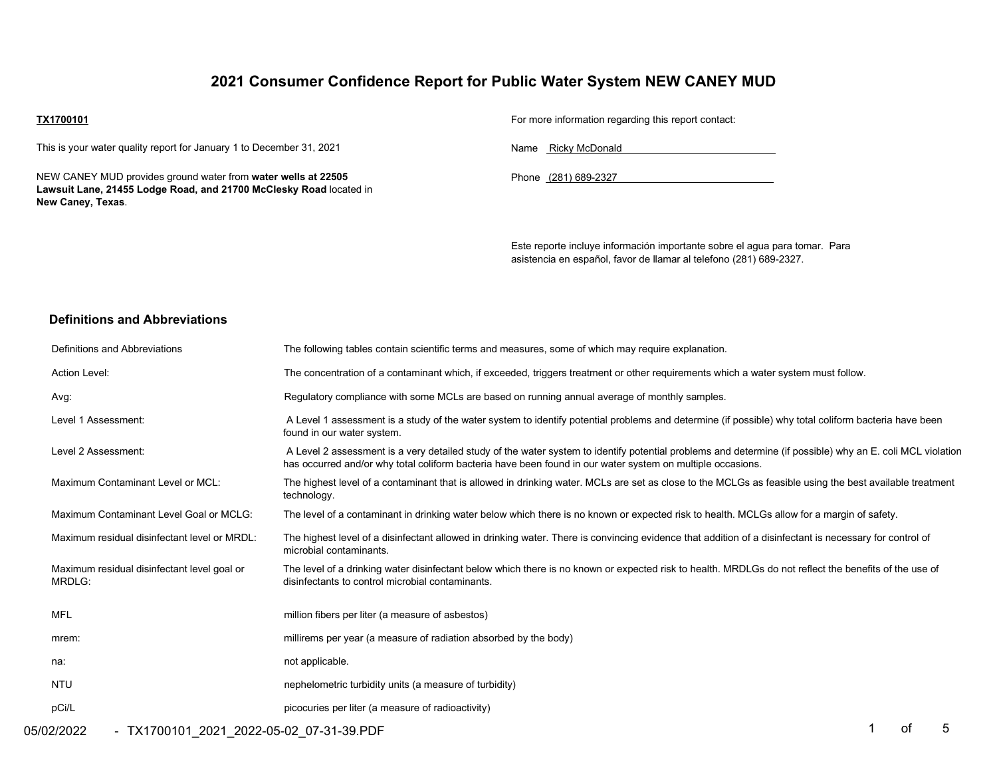## **2021 Consumer Confidence Report for Public Water System NEW CANEY MUD**

#### **TX1700101**

This is your water quality report for January 1 to December 31, 2021

NEW CANEY MUD provides ground water from **water wells at 22505 Lawsuit Lane, 21455 Lodge Road, and 21700 McClesky Road** located in **New Caney, Texas**.

For more information regarding this report contact:

Name Ricky McDonald

Phone (281) 689-2327

Este reporte incluye información importante sobre el agua para tomar. Para asistencia en español, favor de llamar al telefono (281) 689-2327.

### **Definitions and Abbreviations**

| Definitions and Abbreviations                         | The following tables contain scientific terms and measures, some of which may require explanation.                                                                                                                                                                      |
|-------------------------------------------------------|-------------------------------------------------------------------------------------------------------------------------------------------------------------------------------------------------------------------------------------------------------------------------|
| Action Level:                                         | The concentration of a contaminant which, if exceeded, triggers treatment or other requirements which a water system must follow.                                                                                                                                       |
| Avg:                                                  | Regulatory compliance with some MCLs are based on running annual average of monthly samples.                                                                                                                                                                            |
| Level 1 Assessment:                                   | A Level 1 assessment is a study of the water system to identify potential problems and determine (if possible) why total coliform bacteria have been<br>found in our water system.                                                                                      |
| Level 2 Assessment:                                   | A Level 2 assessment is a very detailed study of the water system to identify potential problems and determine (if possible) why an E. coli MCL violation<br>has occurred and/or why total coliform bacteria have been found in our water system on multiple occasions. |
| Maximum Contaminant Level or MCL:                     | The highest level of a contaminant that is allowed in drinking water. MCLs are set as close to the MCLGs as feasible using the best available treatment<br>technology.                                                                                                  |
| Maximum Contaminant Level Goal or MCLG:               | The level of a contaminant in drinking water below which there is no known or expected risk to health. MCLGs allow for a margin of safety.                                                                                                                              |
| Maximum residual disinfectant level or MRDL:          | The highest level of a disinfectant allowed in drinking water. There is convincing evidence that addition of a disinfectant is necessary for control of<br>microbial contaminants.                                                                                      |
| Maximum residual disinfectant level goal or<br>MRDLG: | The level of a drinking water disinfectant below which there is no known or expected risk to health. MRDLGs do not reflect the benefits of the use of<br>disinfectants to control microbial contaminants.                                                               |
| MFL                                                   | million fibers per liter (a measure of asbestos)                                                                                                                                                                                                                        |
| mrem:                                                 | millirems per year (a measure of radiation absorbed by the body)                                                                                                                                                                                                        |
| na:                                                   | not applicable.                                                                                                                                                                                                                                                         |
| <b>NTU</b>                                            | nephelometric turbidity units (a measure of turbidity)                                                                                                                                                                                                                  |
| pCi/L                                                 | picocuries per liter (a measure of radioactivity)                                                                                                                                                                                                                       |
|                                                       | $\overline{A}$ . $\overline{A}$ . $\overline{C}$                                                                                                                                                                                                                        |

05/02/2022 - TX1700101\_2021\_2022-05-02\_07-31-39.PDF 1 of 5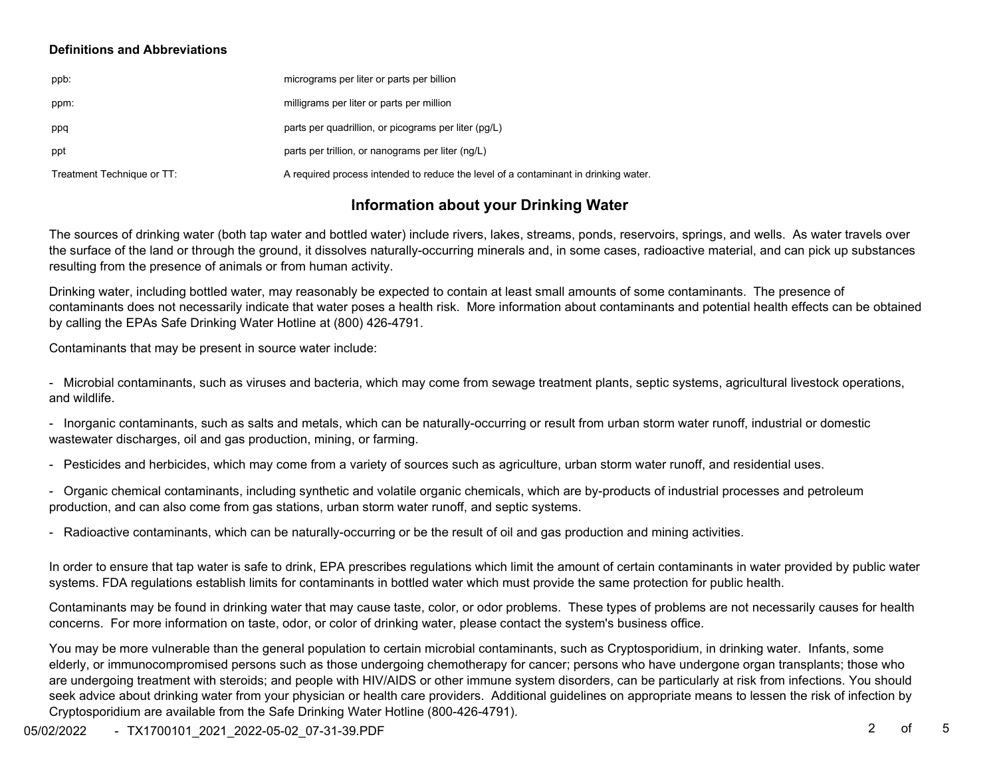#### **Definitions and Abbreviations**

| ppb:                       | micrograms per liter or parts per billion                                           |
|----------------------------|-------------------------------------------------------------------------------------|
| ppm:                       | milligrams per liter or parts per million                                           |
| ppq                        | parts per quadrillion, or picograms per liter (pg/L)                                |
| ppt                        | parts per trillion, or nanograms per liter (ng/L)                                   |
| Treatment Technique or TT: | A required process intended to reduce the level of a contaminant in drinking water. |

## **Information about your Drinking Water**

The sources of drinking water (both tap water and bottled water) include rivers, lakes, streams, ponds, reservoirs, springs, and wells. As water travels over the surface of the land or through the ground, it dissolves naturally-occurring minerals and, in some cases, radioactive material, and can pick up substances resulting from the presence of animals or from human activity.

Drinking water, including bottled water, may reasonably be expected to contain at least small amounts of some contaminants. The presence of contaminants does not necessarily indicate that water poses a health risk. More information about contaminants and potential health effects can be obtained by calling the EPAs Safe Drinking Water Hotline at (800) 426-4791.

Contaminants that may be present in source water include:

- Microbial contaminants, such as viruses and bacteria, which may come from sewage treatment plants, septic systems, agricultural livestock operations, and wildlife.

- Inorganic contaminants, such as salts and metals, which can be naturally-occurring or result from urban storm water runoff, industrial or domestic wastewater discharges, oil and gas production, mining, or farming.

- Pesticides and herbicides, which may come from a variety of sources such as agriculture, urban storm water runoff, and residential uses.

- Organic chemical contaminants, including synthetic and volatile organic chemicals, which are by-products of industrial processes and petroleum production, and can also come from gas stations, urban storm water runoff, and septic systems.

- Radioactive contaminants, which can be naturally-occurring or be the result of oil and gas production and mining activities.

In order to ensure that tap water is safe to drink, EPA prescribes regulations which limit the amount of certain contaminants in water provided by public water systems. FDA regulations establish limits for contaminants in bottled water which must provide the same protection for public health.

Contaminants may be found in drinking water that may cause taste, color, or odor problems. These types of problems are not necessarily causes for health concerns. For more information on taste, odor, or color of drinking water, please contact the system's business office.

You may be more vulnerable than the general population to certain microbial contaminants, such as Cryptosporidium, in drinking water. Infants, some elderly, or immunocompromised persons such as those undergoing chemotherapy for cancer; persons who have undergone organ transplants; those who are undergoing treatment with steroids; and people with HIV/AIDS or other immune system disorders, can be particularly at risk from infections. You should seek advice about drinking water from your physician or health care providers. Additional guidelines on appropriate means to lessen the risk of infection by Cryptosporidium are available from the Safe Drinking Water Hotline (800-426-4791).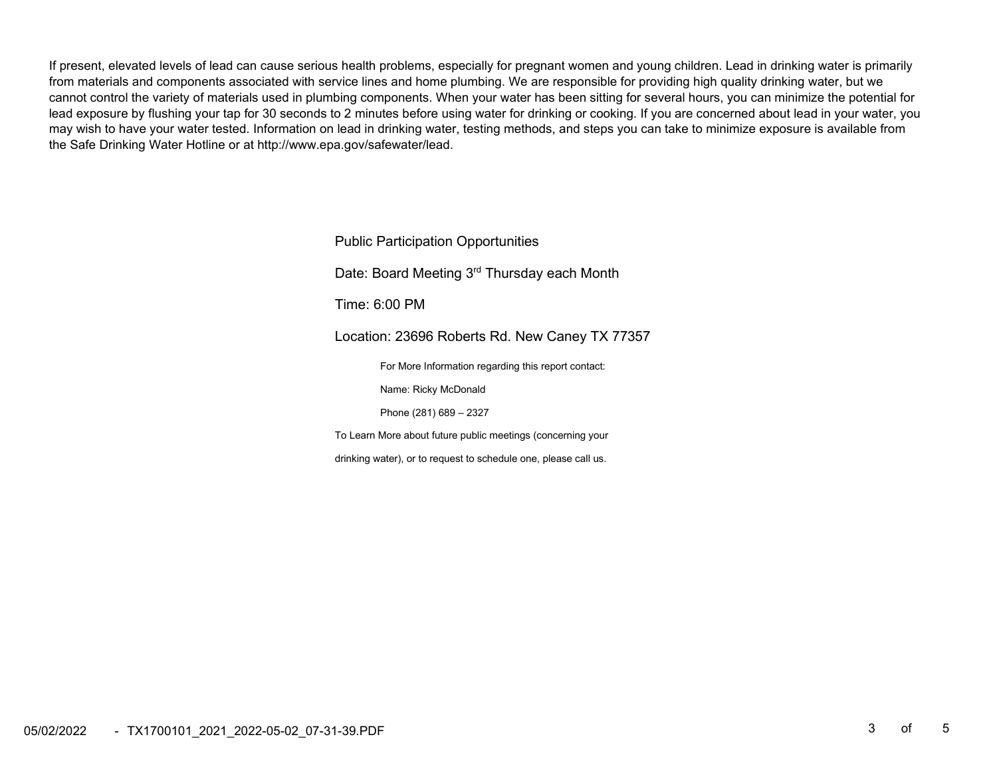If present, elevated levels of lead can cause serious health problems, especially for pregnant women and young children. Lead in drinking water is primarily from materials and components associated with service lines and home plumbing. We are responsible for providing high quality drinking water, but we cannot control the variety of materials used in plumbing components. When your water has been sitting for several hours, you can minimize the potential for lead exposure by flushing your tap for 30 seconds to 2 minutes before using water for drinking or cooking. If you are concerned about lead in your water, you may wish to have your water tested. Information on lead in drinking water, testing methods, and steps you can take to minimize exposure is available from the Safe Drinking Water Hotline or at http://www.epa.gov/safewater/lead.

> Public Participation Opportunities Date: Board Meeting 3<sup>rd</sup> Thursday each Month

Time: 6:00 PM

Location: 23696 Roberts Rd. New Caney TX 77357

For More Information regarding this report contact:

Name: Ricky McDonald

Phone (281) 689 – 2327

To Learn More about future public meetings (concerning your

drinking water), or to request to schedule one, please call us.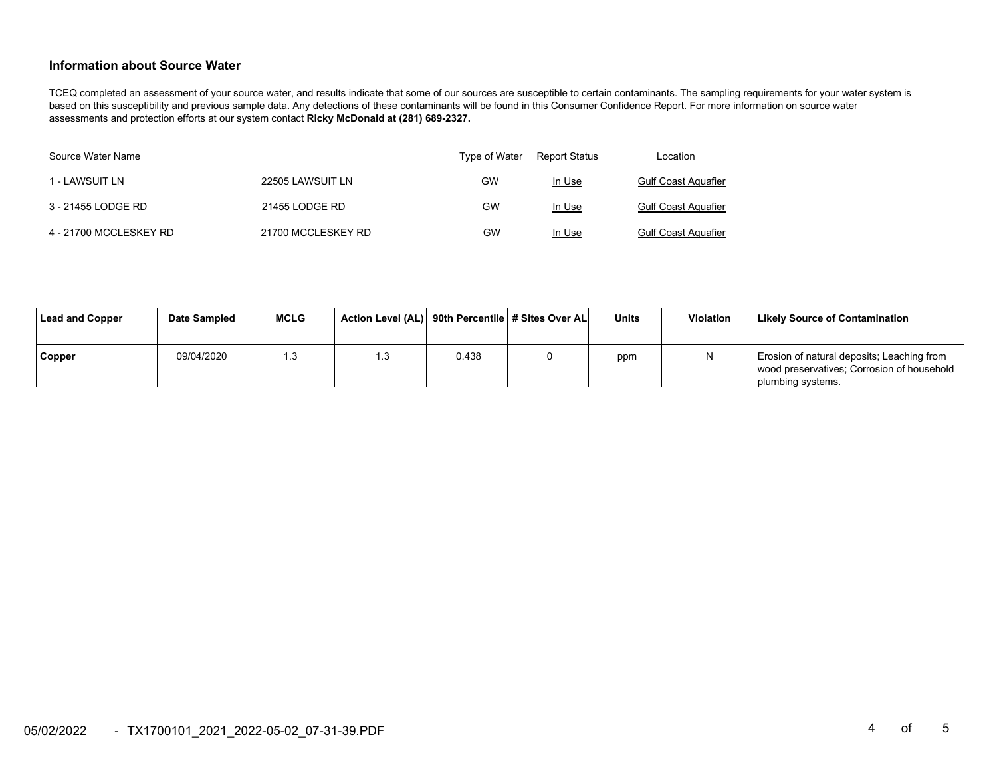#### **Information about Source Water**

TCEQ completed an assessment of your source water, and results indicate that some of our sources are susceptible to certain contaminants. The sampling requirements for your water system is based on this susceptibility and previous sample data. Any detections of these contaminants will be found in this Consumer Confidence Report. For more information on source water assessments and protection efforts at our system contact **Ricky McDonald at (281) 689-2327.** 

| Source Water Name      |                    | Type of Water | Report Status | Location                   |
|------------------------|--------------------|---------------|---------------|----------------------------|
| 1 - LAWSUIT LN         | 22505 LAWSUIT LN   | GW            | In Use        | <b>Gulf Coast Aquafier</b> |
| 3 - 21455 LODGE RD     | 21455 LODGE RD     | GW            | In Use        | <b>Gulf Coast Aquafier</b> |
| 4 - 21700 MCCLESKEY RD | 21700 MCCLESKEY RD | GW            | In Use        | <b>Gulf Coast Aquafier</b> |

| Lead and Copper | Date Sampled | <b>MCLG</b> | Action Level (AL) 90th Percentile # Sites Over AL |       | Units | <b>Violation</b> | <b>Likely Source of Contamination</b>                                                                         |
|-----------------|--------------|-------------|---------------------------------------------------|-------|-------|------------------|---------------------------------------------------------------------------------------------------------------|
| Copper          | 09/04/2020   | .3          | l .3                                              | 0.438 | ppm   |                  | Erosion of natural deposits; Leaching from<br>wood preservatives; Corrosion of household<br>plumbing systems. |